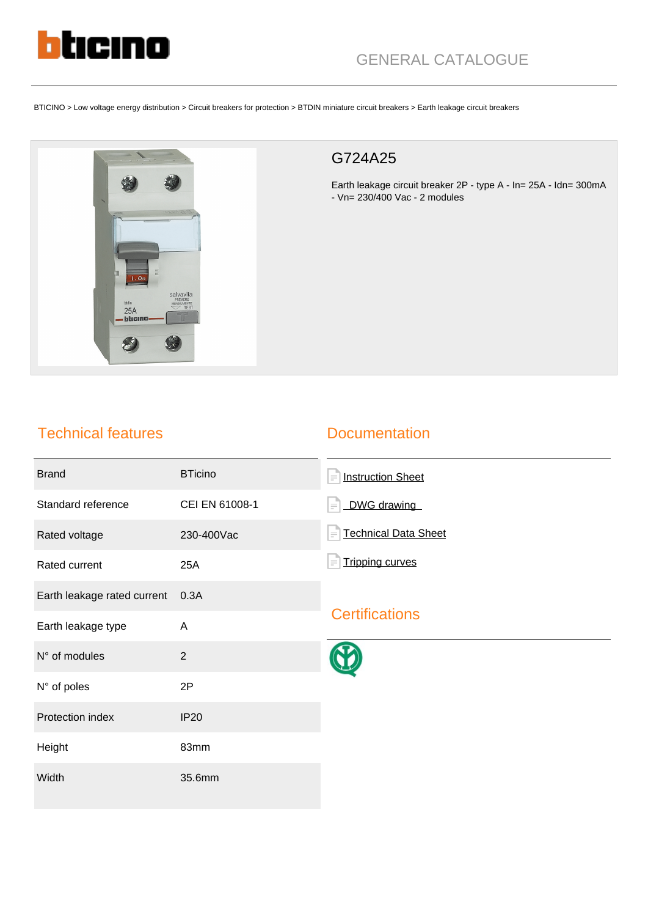

## GENERAL CATALOGUE

BTICINO > Low voltage energy distribution > Circuit breakers for protection > BTDIN miniature circuit breakers > Earth leakage circuit breakers



## G724A25

Earth leakage circuit breaker 2P - type A - In= 25A - Idn= 300mA - Vn= 230/400 Vac - 2 modules

## Technical features

## **Documentation**

| <b>Brand</b>                     | <b>BTicino</b> | <b>Instruction Sheet</b><br>$\equiv$    |
|----------------------------------|----------------|-----------------------------------------|
| Standard reference               | CEI EN 61008-1 | DWG drawing                             |
| Rated voltage                    | 230-400Vac     | <b>Technical Data Sheet</b><br>$\equiv$ |
| Rated current                    | 25A            | <b>Tripping curves</b><br>$=$           |
| Earth leakage rated current 0.3A |                | <b>Certifications</b>                   |
| Earth leakage type               | A              |                                         |
| N° of modules                    | $\overline{2}$ |                                         |
| N° of poles                      | 2P             |                                         |
| Protection index                 | <b>IP20</b>    |                                         |
| Height                           | 83mm           |                                         |
| Width                            | 35.6mm         |                                         |